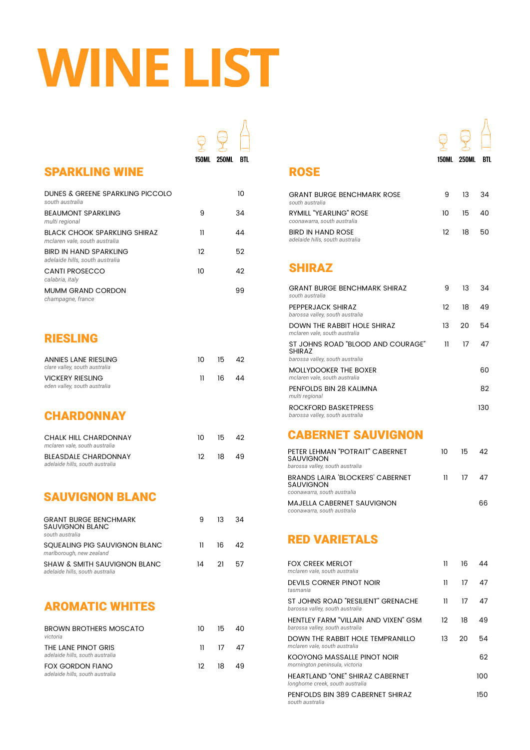# **WINE LIST**

| DUNES & GREENE SPARKLING PICCOLO<br>south australia                  |    | 1ດ |
|----------------------------------------------------------------------|----|----|
| <b>BEAUMONT SPARKLING</b><br>multi regional                          | 9  | 34 |
| <b>BLACK CHOOK SPARKLING SHIRAZ</b><br>mclaren vale, south australia | 11 | 44 |
| <b>BIRD IN HAND SPARKLING</b><br>adelaide hills, south australia     | 12 | 52 |
| <b>CANTI PROSECCO</b><br>calabria, italy                             | 10 | 42 |
| <b>MUMM GRAND CORDON</b><br>champagne, france                        |    | 99 |

### RIESLING

| <b>ANNIES LANE RIESLING</b><br>clare valley, south australia | $10 -$       |           | $15 \quad 42$ |
|--------------------------------------------------------------|--------------|-----------|---------------|
| <b>VICKERY RIESLING</b>                                      | $\mathbf{H}$ | - 16 - 44 |               |
| eden valley, south australia                                 |              |           |               |

| <b>CHALK HILL CHARDONNAY</b><br>mclaren vale, south australia  | $10-$ | 15    | 42  |
|----------------------------------------------------------------|-------|-------|-----|
| <b>BLEASDALE CHARDONNAY</b><br>adelaide hills, south australia |       | 12 18 | -49 |

### SAUVIGNON BLANC

| <b>GRANT BURGE BENCHMARK</b><br><b>SAUVIGNON BLANC</b><br>south australia  | 9   | 13 | .34 |
|----------------------------------------------------------------------------|-----|----|-----|
| SQUEALING PIG SAUVIGNON BLANC<br>marlborough, new zealand                  | 11. | 16 | 42  |
| <b>SHAW &amp; SMITH SAUVIGNON BLANC</b><br>adelaide hills, south australia | 14  | 21 | -57 |

### SHIRAZ

| <b>GRANT BURGE BENCHMARK SHIRAZ</b><br>south australia                                | 9  | 13 | 34 |
|---------------------------------------------------------------------------------------|----|----|----|
| PEPPERJACK SHIRAZ<br>barossa valley, south australia                                  | 12 | 18 | 49 |
| <b>DOWN THE RABBIT HOLE SHIRAZ</b><br>mclaren vale, south australia                   | 13 | 20 | 54 |
| ST JOHNS ROAD "BLOOD AND COURAGE"<br><b>SHIRAZ</b><br>barossa valley, south australia | 11 | 17 | 47 |
| <b>MOLLYDOOKER THE BOXER</b><br>mclaren vale, south australia                         |    |    | 60 |
| PENFOLDS BIN 28 KALIMNA<br>multi regional                                             |    |    | 82 |

### **CHARDONNAY**

ROCKFORD BASKETPRESS *barossa valley, south australia*

### CABERNET SAUVIGNON

| PETER LEHMAN "POTRAIT" CABERNET<br><b>SAUVIGNON</b><br>barossa valley, south australia     | 10 | 15.           | 42. |
|--------------------------------------------------------------------------------------------|----|---------------|-----|
| <b>BRANDS LAIRA 'BLOCKERS' CABERNET</b><br><b>SAUVIGNON</b><br>coonawarra, south australia | 11 | $\frac{1}{2}$ |     |
| <b>MAJELLA CABERNET SAUVIGNON</b><br>coonawarra, south australia                           |    |               |     |

### AROMATIC WHITES

| <b>BROWN BROTHERS MOSCATO</b><br>victoria                  | 10 I | 15               | 40 |
|------------------------------------------------------------|------|------------------|----|
| THE LANE PINOT GRIS<br>adelaide hills, south australia     |      | $11 \t 17 \t 47$ |    |
| <b>FOX GORDON FIANO</b><br>adelaide hills, south australia |      | 12 18            | 49 |

### RED VARIETALS

| <b>FOX CREEK MERLOT</b><br>mclaren vale, south australia                       | 11                | 16 | 44  |
|--------------------------------------------------------------------------------|-------------------|----|-----|
| <b>DEVILS CORNER PINOT NOIR</b><br>tasmania                                    | 11                | 17 | 47  |
| ST JOHNS ROAD "RESILIENT" GRENACHE<br>barossa valley, south australia          | 11                | 17 | 47  |
| <b>HENTLEY FARM "VILLAIN AND VIXEN" GSM</b><br>barossa valley, south australia | $12 \overline{ }$ | 18 | 49  |
| DOWN THE RABBIT HOLE TEMPRANILLO<br>mclaren vale, south australia              | 13                | 20 | 54  |
| <b>KOOYONG MASSALLE PINOT NOIR</b><br>mornington peninsula, victoria           |                   |    | 62  |
| <b>HEARTLAND "ONE" SHIRAZ CABERNET</b><br>longhorne creek, south australia     |                   |    | 100 |
| PENFOLDS BIN 389 CABERNET SHIRAZ<br>south australia                            |                   |    | 150 |

| <b>GRANT BURGE BENCHMARK ROSE</b><br>south australia        | 9 | $13 \quad 34$    |  |
|-------------------------------------------------------------|---|------------------|--|
| RYMILL "YEARLING" ROSE<br>coonawarra, south australia       |   | $10 \t 15 \t 40$ |  |
| <b>BIRD IN HAND ROSE</b><br>adelaide hills, south australia |   | $12 \t 18 \t 50$ |  |

 $\mathbb{Q}$ 



### SPARKLING WINE ROSE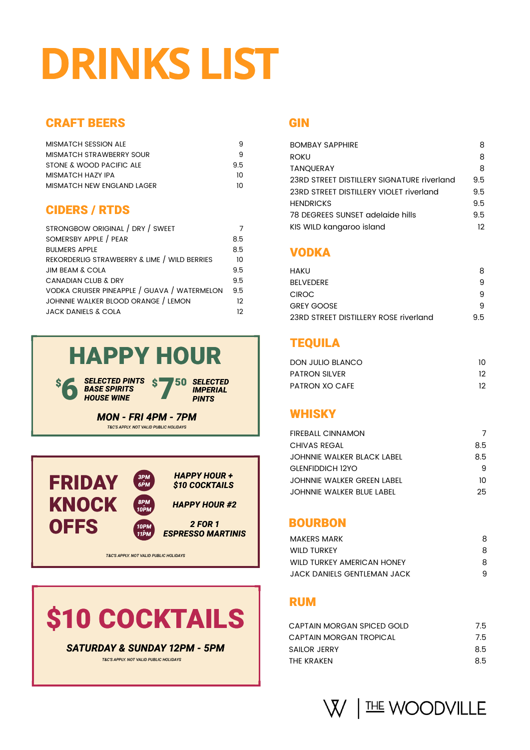# **DRINKS LIST**

### CRAFT BEERS

### WHISKY

### BOURBON

### RUM

| <b>MISMATCH SESSION ALE</b>       |    |
|-----------------------------------|----|
| MISMATCH STRAWBERRY SOUR          |    |
| STONE & WOOD PACIFIC ALE          | 95 |
| <b>MISMATCH HAZY IPA</b>          | 10 |
| <b>MISMATCH NEW ENGLAND LAGER</b> | 10 |

### *MON - FRI 44PM - 77PM*

*T&C'S APPLY. NOT VALID PUBLIC HOLIDAYS*



### **GIN**





### **SATURDAY & SUNDAY 12PM - 5PM**

*T&C'S APPLY. NOT VALID PUBLIC HOLIDAYS*

| <b>BOMBAY SAPPHIRE</b>                     | 8   |
|--------------------------------------------|-----|
| <b>ROKU</b>                                | 8   |
| <b>TANQUERAY</b>                           | 8   |
| 23RD STREET DISTILLERY SIGNATURE riverland | 9.5 |
| 23RD STREET DISTILLERY VIOLET riverland    | 9.5 |
| <b>HENDRICKS</b>                           | 9.5 |
| 78 DEGREES SUNSET adelaide hills           | 9.5 |
| KIS WILD kangaroo island                   | 12  |

### **VODKA**

### CIDERS / RTDS

| STRONGBOW ORIGINAL / DRY / SWEET             |     |
|----------------------------------------------|-----|
| SOMERSBY APPLE / PEAR                        | 8.5 |
| <b>BULMERS APPLE</b>                         | 8.5 |
| REKORDERLIG STRAWBERRY & LIME / WILD BERRIES | 10  |
| <b>JIM BEAM &amp; COLA</b>                   | 9.5 |
| <b>CANADIAN CLUB &amp; DRY</b>               | 9.5 |
| VODKA CRUISER PINEAPPLE / GUAVA / WATERMELON | 9.5 |
| JOHNNIE WALKER BLOOD ORANGE / LEMON          | 12  |
| <b>JACK DANIELS &amp; COLA</b>               | 12  |

| <b>FIREBALL CINNAMON</b>         |     |
|----------------------------------|-----|
| <b>CHIVAS REGAL</b>              | 8.5 |
| JOHNNIE WALKER BLACK LABEL       | 8.5 |
| <b>GLENFIDDICH 12YO</b>          | 9   |
| JOHNNIE WALKER GREEN LABEL       | 10  |
| <b>JOHNNIE WALKER BLUE LABEL</b> | 25. |

| CAPTAIN MORGAN SPICED GOLD | 7.5 |
|----------------------------|-----|
| CAPTAIN MORGAN TROPICAL    | 7.5 |
| <b>SAILOR JERRY</b>        | 8.5 |
| THE KRAKEN                 | 8.5 |

I THE WOODVILLE  $\bigvee$ 

| <b>HAKU</b>                           |    |
|---------------------------------------|----|
| <b>BELVEDERE</b>                      |    |
| <b>CIROC</b>                          |    |
| <b>GREY GOOSE</b>                     |    |
| 23RD STREET DISTILLERY ROSE riverland | 95 |

| <b>DON JULIO BLANCO</b> |                 |
|-------------------------|-----------------|
| <b>PATRON SILVER</b>    | 12 <sup>7</sup> |
| PATRON XO CAFE          | 12              |

| MAKERS MARK                 |    |
|-----------------------------|----|
| <b>WILD TURKEY</b>          | 8  |
| WILD TURKEY AMERICAN HONEY  | 8. |
| JACK DANIELS GENTLEMAN JACK |    |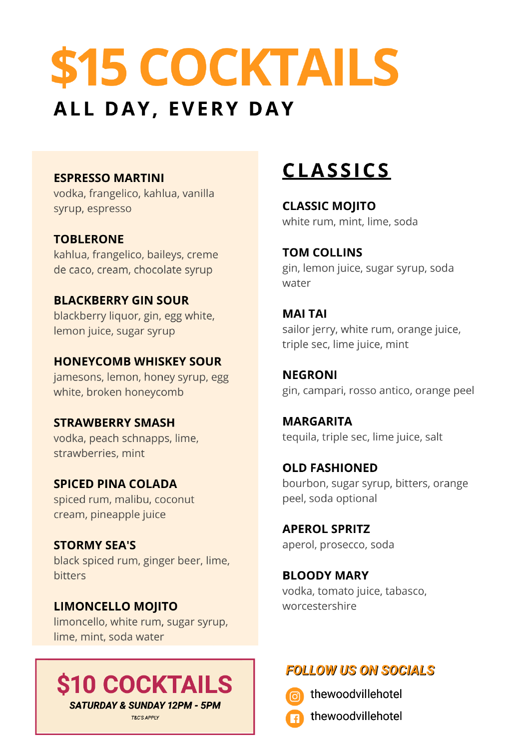## \$15 COCKTAILS ALL DAY, EVERY DAY

### **ESPRESSO MARTINI**

vodka, frangelico, kahlua, vanilla syrup, espresso

### **TOBLERONE**

kahlua, frangelico, baileys, creme de caco, cream, chocolate syrup

### **BLACKBERRY GIN SOUR**

blackberry liquor, gin, egg white, lemon juice, sugar syrup

### **HONEYCOMB WHISKEY SOUR**

jamesons, lemon, honey syrup, egg white, broken honeycomb

## <u>CLASSICS</u>

### **CLASSIC MOJITO**

white rum, mint, lime, soda

**TOM COLLINS** gin, lemon juice, sugar syrup, soda water

### **MAI TAI**

sailor jerry, white rum, orange juice, triple sec, lime juice, mint

### **NEGRONI**

gin, campari, rosso antico, orange peel

### **STRAWBERRY SMASH**

vodka, peach schnapps, lime, strawberries, mint

### **SPICED PINA COLADA**

spiced rum, malibu, coconut cream, pineapple juice

### **STORMY SEA'S**

black spiced rum, ginger beer, lime, bitters

### **LIMONCELLO MOJITO**

limoncello, white rum, sugar syrup, lime, mint, soda water



**T&C'S APPLY** 

### **MARGARITA**

tequila, triple sec, lime juice, salt

### **OLD FASHIONED**

bourbon, sugar syrup, bitters, orange peel, soda optional

**APEROL SPRITZ** aperol, prosecco, soda

### **BLOODY MARY**

vodka, tomato juice, tabasco, worcestershire

### **FOLLOW US ON SOCIALS**



thewoodvillehotel



thewoodvillehotel